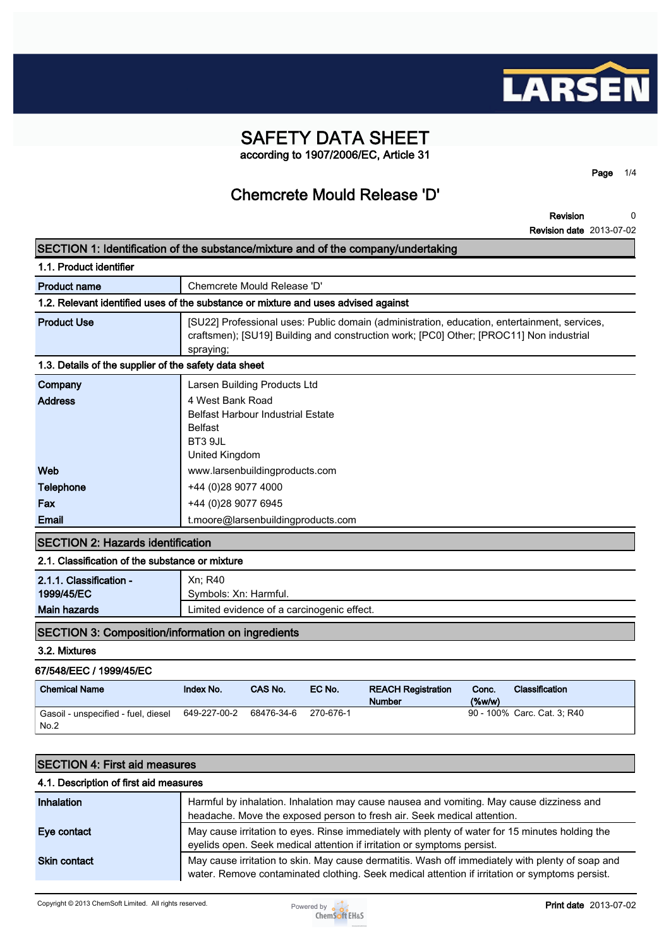

# **SAFETY DATA SHEET according to 1907/2006/EC, Article 31**

**Page 1/4**

# **Chemcrete Mould Release 'D'**

|                                                              | SECTION 1: Identification of the substance/mixture and of the company/undertaking                                                                                                                    |
|--------------------------------------------------------------|------------------------------------------------------------------------------------------------------------------------------------------------------------------------------------------------------|
| 1.1. Product identifier                                      |                                                                                                                                                                                                      |
| <b>Product name</b>                                          | Chemcrete Mould Release 'D'                                                                                                                                                                          |
|                                                              | 1.2. Relevant identified uses of the substance or mixture and uses advised against                                                                                                                   |
| <b>Product Use</b>                                           | [SU22] Professional uses: Public domain (administration, education, entertainment, services,<br>craftsmen); [SU19] Building and construction work; [PC0] Other; [PROC11] Non industrial<br>spraying; |
| 1.3. Details of the supplier of the safety data sheet        |                                                                                                                                                                                                      |
| Company                                                      | Larsen Building Products Ltd                                                                                                                                                                         |
| <b>Address</b>                                               | 4 West Bank Road<br><b>Belfast Harbour Industrial Estate</b><br><b>Belfast</b><br>BT3 9JL<br>United Kingdom                                                                                          |
| Web                                                          | www.larsenbuildingproducts.com                                                                                                                                                                       |
| Telephone                                                    | +44 (0)28 9077 4000                                                                                                                                                                                  |
| Fax                                                          | +44 (0)28 9077 6945                                                                                                                                                                                  |
| Email                                                        | t.moore@larsenbuildingproducts.com                                                                                                                                                                   |
| <b>SECTION 2: Hazards identification</b>                     |                                                                                                                                                                                                      |
| 2.1. Classification of the substance or mixture              |                                                                                                                                                                                                      |
| 2.1.1. Classification -<br>1999/45/EC<br><b>Main hazards</b> | Xn; R40<br>Symbols: Xn: Harmful.<br>Limited evidence of a carcinogenic effect.                                                                                                                       |
| <b>SECTION 3: Composition/information on ingredients</b>     |                                                                                                                                                                                                      |
| 3.2. Mixtures                                                |                                                                                                                                                                                                      |
| 67/548/EEC / 1999/45/EC                                      |                                                                                                                                                                                                      |

| <b>Chemical Name</b>                        | <b>Index No.</b> | <b>CAS No.</b> | EC No.    | <b>REACH Registration</b><br><b>Number</b> | Conc.<br>$(\%w/w)$ | <b>Classification</b>       |
|---------------------------------------------|------------------|----------------|-----------|--------------------------------------------|--------------------|-----------------------------|
| Gasoil - unspecified - fuel, diesel<br>No.2 | 649-227-00-2     | 68476-34-6     | 270-676-1 |                                            |                    | 90 - 100% Carc. Cat. 3, R40 |

| <b>SECTION 4: First aid measures</b> |  |
|--------------------------------------|--|
|--------------------------------------|--|

### **4.1. Description of first aid measures**

| Inhalation          | Harmful by inhalation. Inhalation may cause nausea and vomiting. May cause dizziness and<br>headache. Move the exposed person to fresh air. Seek medical attention.                                |  |
|---------------------|----------------------------------------------------------------------------------------------------------------------------------------------------------------------------------------------------|--|
| Eye contact         | May cause irritation to eyes. Rinse immediately with plenty of water for 15 minutes holding the<br>eyelids open. Seek medical attention if irritation or symptoms persist.                         |  |
| <b>Skin contact</b> | May cause irritation to skin. May cause dermatitis. Wash off immediately with plenty of soap and<br>water. Remove contaminated clothing. Seek medical attention if irritation or symptoms persist. |  |

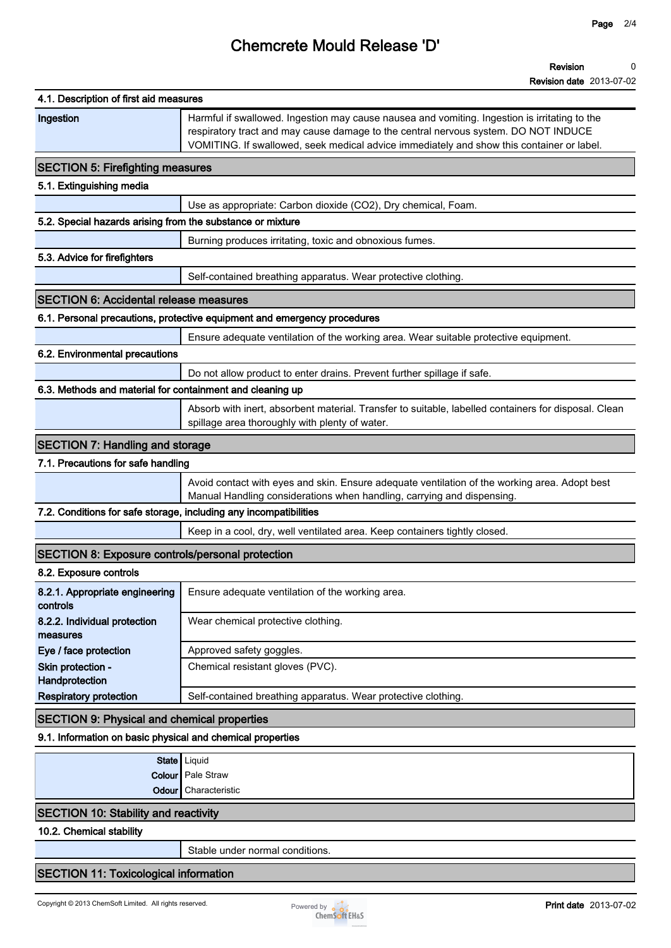# **Chemcrete Mould Release 'D'**

| 4.1. Description of first aid measures                            |                                                                                                                                                                                                                                                                                   |
|-------------------------------------------------------------------|-----------------------------------------------------------------------------------------------------------------------------------------------------------------------------------------------------------------------------------------------------------------------------------|
| Ingestion                                                         | Harmful if swallowed. Ingestion may cause nausea and vomiting. Ingestion is irritating to the<br>respiratory tract and may cause damage to the central nervous system. DO NOT INDUCE<br>VOMITING. If swallowed, seek medical advice immediately and show this container or label. |
| <b>SECTION 5: Firefighting measures</b>                           |                                                                                                                                                                                                                                                                                   |
| 5.1. Extinguishing media                                          |                                                                                                                                                                                                                                                                                   |
|                                                                   | Use as appropriate: Carbon dioxide (CO2), Dry chemical, Foam.                                                                                                                                                                                                                     |
| 5.2. Special hazards arising from the substance or mixture        |                                                                                                                                                                                                                                                                                   |
|                                                                   | Burning produces irritating, toxic and obnoxious fumes.                                                                                                                                                                                                                           |
| 5.3. Advice for firefighters                                      |                                                                                                                                                                                                                                                                                   |
|                                                                   | Self-contained breathing apparatus. Wear protective clothing.                                                                                                                                                                                                                     |
| <b>SECTION 6: Accidental release measures</b>                     |                                                                                                                                                                                                                                                                                   |
|                                                                   | 6.1. Personal precautions, protective equipment and emergency procedures                                                                                                                                                                                                          |
|                                                                   | Ensure adequate ventilation of the working area. Wear suitable protective equipment.                                                                                                                                                                                              |
| 6.2. Environmental precautions                                    |                                                                                                                                                                                                                                                                                   |
|                                                                   | Do not allow product to enter drains. Prevent further spillage if safe.                                                                                                                                                                                                           |
| 6.3. Methods and material for containment and cleaning up         |                                                                                                                                                                                                                                                                                   |
|                                                                   | Absorb with inert, absorbent material. Transfer to suitable, labelled containers for disposal. Clean<br>spillage area thoroughly with plenty of water.                                                                                                                            |
| <b>SECTION 7: Handling and storage</b>                            |                                                                                                                                                                                                                                                                                   |
| 7.1. Precautions for safe handling                                |                                                                                                                                                                                                                                                                                   |
|                                                                   | Avoid contact with eyes and skin. Ensure adequate ventilation of the working area. Adopt best<br>Manual Handling considerations when handling, carrying and dispensing.                                                                                                           |
| 7.2. Conditions for safe storage, including any incompatibilities |                                                                                                                                                                                                                                                                                   |
|                                                                   | Keep in a cool, dry, well ventilated area. Keep containers tightly closed.                                                                                                                                                                                                        |
| <b>SECTION 8: Exposure controls/personal protection</b>           |                                                                                                                                                                                                                                                                                   |
| 8.2. Exposure controls                                            |                                                                                                                                                                                                                                                                                   |
| controls                                                          | 8.2.1. Appropriate engineering   Ensure adequate ventilation of the working area.                                                                                                                                                                                                 |
| 8.2.2. Individual protection<br>measures                          | Wear chemical protective clothing.                                                                                                                                                                                                                                                |
| Eye / face protection                                             | Approved safety goggles.                                                                                                                                                                                                                                                          |
| Skin protection -<br>Handprotection                               | Chemical resistant gloves (PVC).                                                                                                                                                                                                                                                  |
| <b>Respiratory protection</b>                                     | Self-contained breathing apparatus. Wear protective clothing.                                                                                                                                                                                                                     |
| <b>SECTION 9: Physical and chemical properties</b>                |                                                                                                                                                                                                                                                                                   |
| 9.1. Information on basic physical and chemical properties        |                                                                                                                                                                                                                                                                                   |
|                                                                   | State   Liquid                                                                                                                                                                                                                                                                    |
|                                                                   | Colour Pale Straw                                                                                                                                                                                                                                                                 |
|                                                                   | <b>Odour</b> Characteristic                                                                                                                                                                                                                                                       |

## **SECTION 10: Stability and reactivity**

**10.2. Chemical stability**

**Stable under normal conditions.**

# **SECTION 11: Toxicological information**

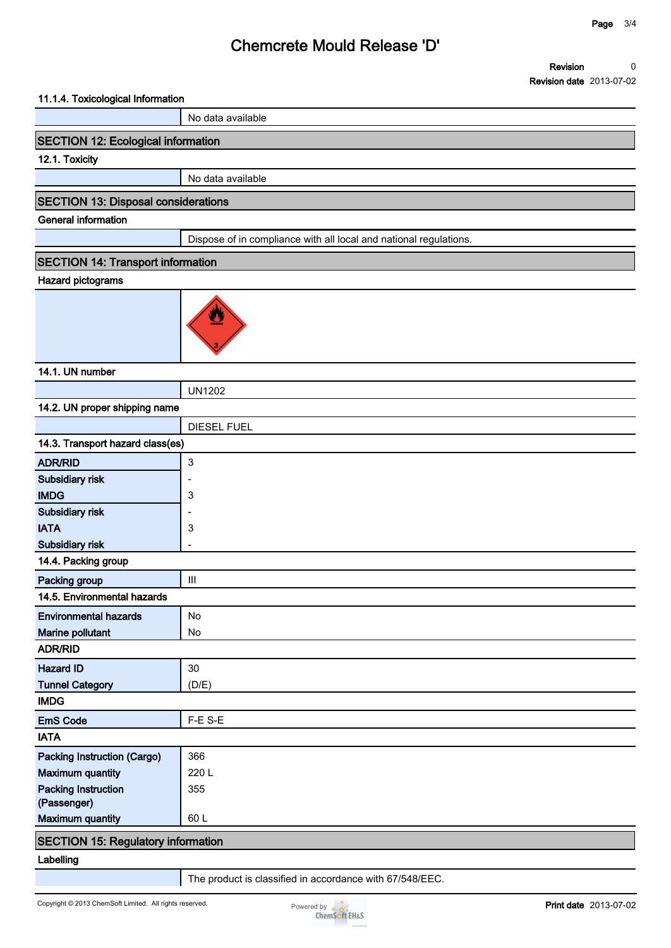# **Chemcrete Mould Release 'D'**

**Revision Revision date 2013-07-02 0**

#### **11.1.4. Toxicological Information**

**No data available**

### **SECTION 12: Ecological information**

### **12.1. Toxicity**

**No data available**

### **SECTION 13: Disposal considerations**

**General information**

**Dispose of in compliance with all local and national regulations.**

### **SECTION 14: Transport information**

#### **Hazard pictograms**



### **14.1. UN number**

|                                           | <b>UN1202</b>      |  |
|-------------------------------------------|--------------------|--|
| 14.2. UN proper shipping name             |                    |  |
|                                           | <b>DIESEL FUEL</b> |  |
| 14.3. Transport hazard class(es)          |                    |  |
| <b>ADR/RID</b>                            | 3                  |  |
| Subsidiary risk                           |                    |  |
| <b>IMDG</b>                               | 3                  |  |
| Subsidiary risk                           |                    |  |
| <b>IATA</b>                               | 3                  |  |
| Subsidiary risk                           |                    |  |
| 14.4. Packing group                       |                    |  |
| Packing group                             | $\mathbf{III}$     |  |
| 14.5. Environmental hazards               |                    |  |
| <b>Environmental hazards</b>              | No                 |  |
| Marine pollutant                          | <b>No</b>          |  |
| <b>ADR/RID</b>                            |                    |  |
| <b>Hazard ID</b>                          | 30                 |  |
| <b>Tunnel Category</b>                    | (D/E)              |  |
| <b>IMDG</b>                               |                    |  |
| <b>EmS Code</b>                           | F-E S-E            |  |
| <b>IATA</b>                               |                    |  |
| <b>Packing Instruction (Cargo)</b>        | 366                |  |
| <b>Maximum quantity</b>                   | 220 L              |  |
| <b>Packing Instruction</b>                | 355                |  |
| (Passenger)                               |                    |  |
| <b>Maximum quantity</b>                   | 60L                |  |
| <b>SECTION 15: Regulatory information</b> |                    |  |
|                                           |                    |  |

#### **Labelling**

**The product is classified in accordance with 67/548/EEC.**